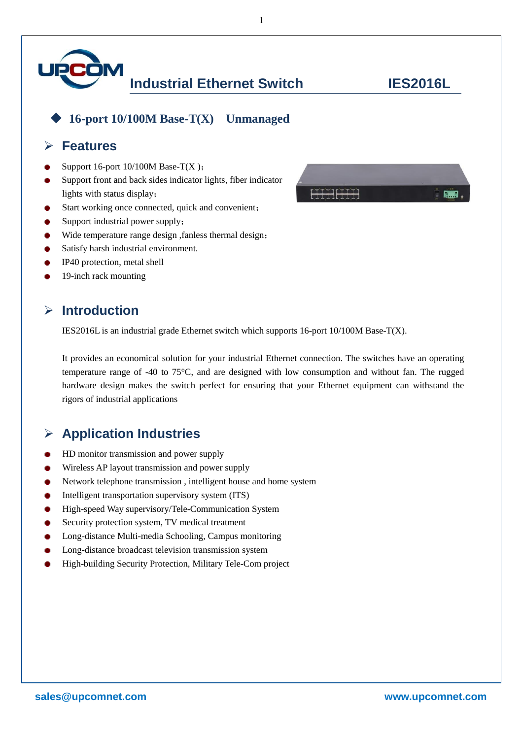

◆ **16-port 10/100M Base-T(X) Unmanaged**

### ➢ **Features**

- Support 16-port 10/100M Base-T(X );
- Support front and back sides indicator lights, fiber indicator lights with status display;
- Start working once connected, quick and convenient;
- Support industrial power supply;
- Wide temperature range design , fanless thermal design;
- Satisfy harsh industrial environment.
- IP40 protection, metal shell
- 19-inch rack mounting

# ➢ **Introduction**

IES2016L is an industrial grade Ethernet switch which supports 16-port 10/100M Base-T(X).

It provides an economical solution for your industrial Ethernet connection. The switches have an operating temperature range of -40 to 75°C, and are designed with low consumption and without fan. The rugged hardware design makes the switch perfect for ensuring that your Ethernet equipment can withstand the rigors of industrial applications

# ➢ **Application Industries**

- HD monitor transmission and power supply
- Wireless AP layout transmission and power supply
- Network telephone transmission , intelligent house and home system ٠
- Intelligent transportation supervisory system (ITS)
- High-speed Way supervisory/Tele-Communication System
- Security protection system, TV medical treatment
- Long-distance Multi-media Schooling, Campus monitoring
- Long-distance broadcast television transmission system
- High-building Security Protection, Military Tele-Com project



1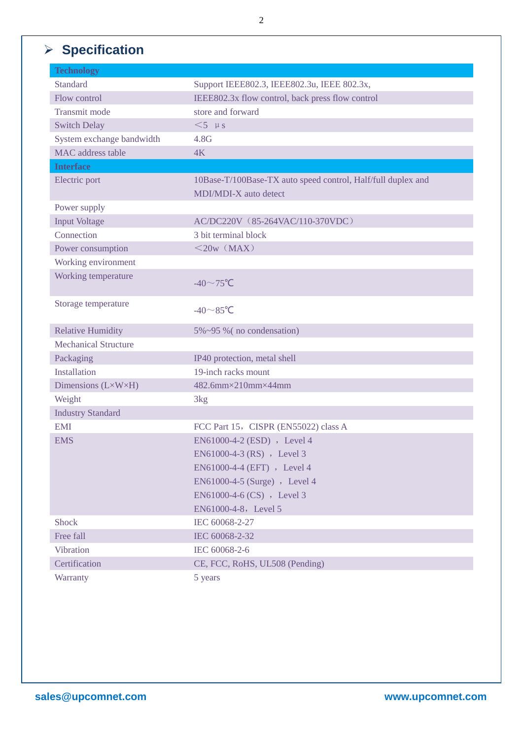# ➢ **Specification**

| <b>Technology</b>           |                                                              |
|-----------------------------|--------------------------------------------------------------|
| <b>Standard</b>             | Support IEEE802.3, IEEE802.3u, IEEE 802.3x,                  |
| Flow control                | IEEE802.3x flow control, back press flow control             |
| Transmit mode               | store and forward                                            |
| <b>Switch Delay</b>         | $<$ 5 µs                                                     |
| System exchange bandwidth   | 4.8G                                                         |
| MAC address table           | 4K                                                           |
| <b>Interface</b>            |                                                              |
| Electric port               | 10Base-T/100Base-TX auto speed control, Half/full duplex and |
|                             | MDI/MDI-X auto detect                                        |
| Power supply                |                                                              |
| <b>Input Voltage</b>        | AC/DC220V (85-264VAC/110-370VDC)                             |
| Connection                  | 3 bit terminal block                                         |
| Power consumption           | $<$ 20w (MAX)                                                |
| Working environment         |                                                              |
| Working temperature         | -40 $\sim$ 75°C                                              |
| Storage temperature         | $-40 \sim 85$ °C                                             |
| <b>Relative Humidity</b>    | 5%~95 % (no condensation)                                    |
| <b>Mechanical Structure</b> |                                                              |
| Packaging                   | IP40 protection, metal shell                                 |
| Installation                | 19-inch racks mount                                          |
| Dimensions (L×W×H)          | 482.6mm×210mm×44mm                                           |
| Weight                      | 3kg                                                          |
| <b>Industry Standard</b>    |                                                              |
| <b>EMI</b>                  | FCC Part 15, CISPR (EN55022) class A                         |
| <b>EMS</b>                  | EN61000-4-2 (ESD), Level 4                                   |
|                             | EN61000-4-3 (RS), Level 3                                    |
|                             | EN61000-4-4 (EFT) , Level 4                                  |
|                             | EN61000-4-5 (Surge) , Level 4                                |
|                             | EN61000-4-6 (CS) , Level 3                                   |
|                             | EN61000-4-8, Level 5                                         |
| <b>Shock</b>                | IEC 60068-2-27                                               |
| Free fall                   | IEC 60068-2-32                                               |
| Vibration                   | IEC 60068-2-6                                                |
| Certification               | CE, FCC, RoHS, UL508 (Pending)                               |
| Warranty                    | 5 years                                                      |